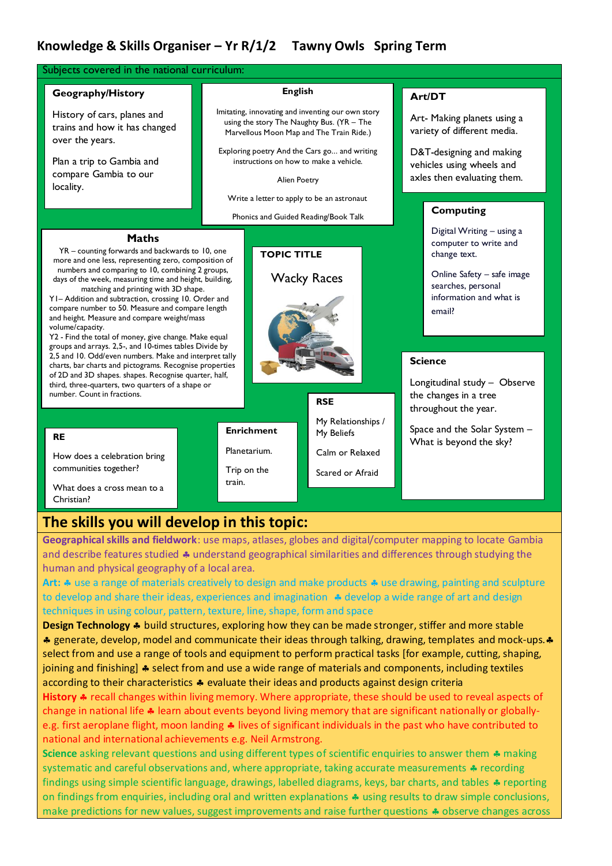## **Knowledge & Skills Organiser – Yr R/1/2 Tawny Owls Spring Term**

| Subjects covered in the national curriculum:                                                                                                                                                                                                                                                                                                                                                                                                                                                                                                                                                                                                                                                                                                                                                                                                                                                                                                          |                                                                                                                                                                                                                                                                                                                                                               |                                                                                                             |                                                                                                                                                                                                                                                                                                                           |
|-------------------------------------------------------------------------------------------------------------------------------------------------------------------------------------------------------------------------------------------------------------------------------------------------------------------------------------------------------------------------------------------------------------------------------------------------------------------------------------------------------------------------------------------------------------------------------------------------------------------------------------------------------------------------------------------------------------------------------------------------------------------------------------------------------------------------------------------------------------------------------------------------------------------------------------------------------|---------------------------------------------------------------------------------------------------------------------------------------------------------------------------------------------------------------------------------------------------------------------------------------------------------------------------------------------------------------|-------------------------------------------------------------------------------------------------------------|---------------------------------------------------------------------------------------------------------------------------------------------------------------------------------------------------------------------------------------------------------------------------------------------------------------------------|
| Geography/History<br>History of cars, planes and<br>trains and how it has changed<br>over the years.<br>Plan a trip to Gambia and<br>compare Gambia to our<br>locality.                                                                                                                                                                                                                                                                                                                                                                                                                                                                                                                                                                                                                                                                                                                                                                               | <b>English</b><br>Imitating, innovating and inventing our own story<br>using the story The Naughty Bus. (YR - The<br>Marvellous Moon Map and The Train Ride.)<br>Exploring poetry And the Cars go and writing<br>instructions on how to make a vehicle.<br>Alien Poetry<br>Write a letter to apply to be an astronaut<br>Phonics and Guided Reading/Book Talk |                                                                                                             | Art/DT<br>Art- Making planets using a<br>variety of different media.<br>D&T-designing and making<br>vehicles using wheels and<br>axles then evaluating them.<br><b>Computing</b>                                                                                                                                          |
| <b>Maths</b><br>YR - counting forwards and backwards to 10, one<br>more and one less, representing zero, composition of<br>numbers and comparing to 10, combining 2 groups,<br>days of the week, measuring time and height, building,<br>matching and printing with 3D shape.<br>YI-Addition and subtraction, crossing 10. Order and<br>compare number to 50. Measure and compare length<br>and height. Measure and compare weight/mass<br>volume/capacity.<br>Y2 - Find the total of money, give change. Make equal<br>groups and arrays. 2,5-, and 10-times tables Divide by<br>2,5 and 10. Odd/even numbers. Make and interpret tally<br>charts, bar charts and pictograms. Recognise properties<br>of 2D and 3D shapes. shapes. Recognise quarter, half,<br>third, three-quarters, two quarters of a shape or<br>number. Count in fractions.<br><b>RE</b><br>How does a celebration bring<br>communities together?<br>What does a cross mean to a | <b>TOPIC TITLE</b><br><b>Enrichment</b><br>Planetarium.<br>Trip on the<br>train.                                                                                                                                                                                                                                                                              | <b>Wacky Races</b><br><b>RSE</b><br>My Relationships /<br>My Beliefs<br>Calm or Relaxed<br>Scared or Afraid | Digital Writing - using a<br>computer to write and<br>change text.<br>Online Safety - safe image<br>searches, personal<br>information and what is<br>email?<br><b>Science</b><br>Longitudinal study - Observe<br>the changes in a tree<br>throughout the year.<br>Space and the Solar System -<br>What is beyond the sky? |

**Geographical skills and fieldwork**: use maps, atlases, globes and digital/computer mapping to locate Gambia and describe features studied  $\clubsuit$  understand geographical similarities and differences through studying the human and physical geography of a local area.

Art:  $\clubsuit$  use a range of materials creatively to design and make products  $\clubsuit$  use drawing, painting and sculpture to develop and share their ideas, experiences and imagination  $\triangleq$  develop a wide range of art and design techniques in using colour, pattern, texture, line, shape, form and space

**Design Technology \*** build structures, exploring how they can be made stronger, stiffer and more stable \* generate, develop, model and communicate their ideas through talking, drawing, templates and mock-ups. \* select from and use a range of tools and equipment to perform practical tasks [for example, cutting, shaping, joining and finishing]  $\clubsuit$  select from and use a wide range of materials and components, including textiles according to their characteristics  $\clubsuit$  evaluate their ideas and products against design criteria

History  $\clubsuit$  recall changes within living memory. Where appropriate, these should be used to reveal aspects of change in national life  $\clubsuit$  learn about events beyond living memory that are significant nationally or globallye.g. first aeroplane flight, moon landing  $\clubsuit$  lives of significant individuals in the past who have contributed to national and international achievements e.g. Neil Armstrong.

**Science** asking relevant questions and using different types of scientific enquiries to answer them  $\clubsuit$  making systematic and careful observations and, where appropriate, taking accurate measurements  $\triangle$  recording findings using simple scientific language, drawings, labelled diagrams, keys, bar charts, and tables  $\clubsuit$  reporting on findings from enquiries, including oral and written explanations  $\clubsuit$  using results to draw simple conclusions, make predictions for new values, suggest improvements and raise further questions  $\clubsuit$  observe changes across